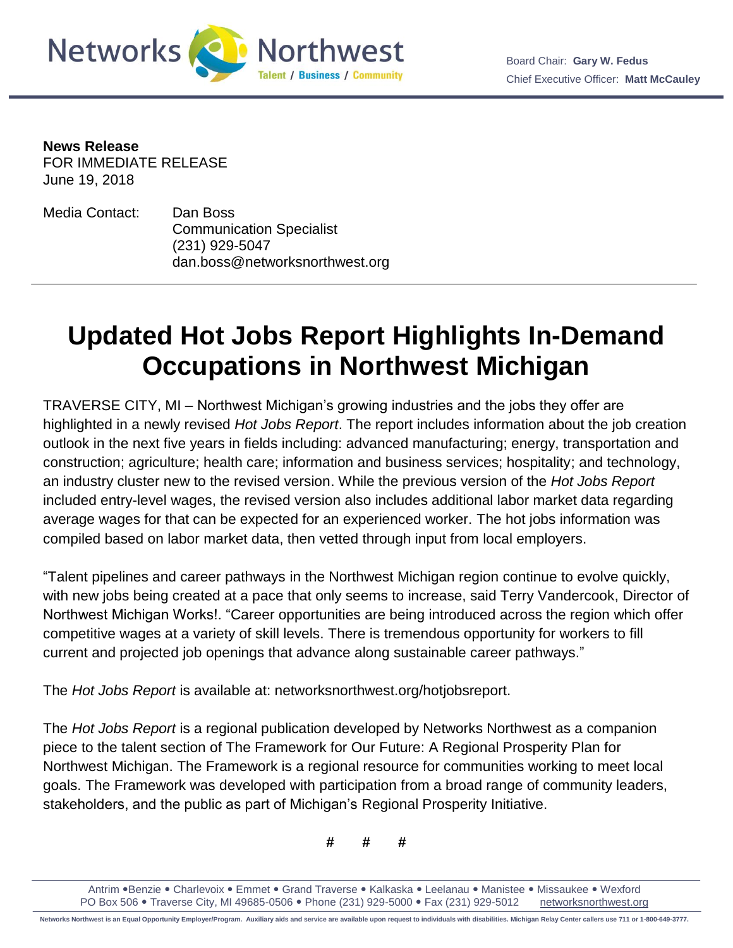

**News Release** FOR IMMEDIATE RELEASE June 19, 2018

f

Media Contact: Dan Boss Communication Specialist (231) 929-5047 dan.boss@networksnorthwest.org

## **Updated Hot Jobs Report Highlights In-Demand Occupations in Northwest Michigan**

TRAVERSE CITY, MI – Northwest Michigan's growing industries and the jobs they offer are highlighted in a newly revised *Hot Jobs Report*. The report includes information about the job creation outlook in the next five years in fields including: advanced manufacturing; energy, transportation and construction; agriculture; health care; information and business services; hospitality; and technology, an industry cluster new to the revised version. While the previous version of the *Hot Jobs Report*  included entry-level wages, the revised version also includes additional labor market data regarding average wages for that can be expected for an experienced worker. The hot jobs information was compiled based on labor market data, then vetted through input from local employers.

"Talent pipelines and career pathways in the Northwest Michigan region continue to evolve quickly, with new jobs being created at a pace that only seems to increase, said Terry Vandercook, Director of Northwest Michigan Works!. "Career opportunities are being introduced across the region which offer competitive wages at a variety of skill levels. There is tremendous opportunity for workers to fill current and projected job openings that advance along sustainable career pathways."

The *Hot Jobs Report* is available at: networksnorthwest.org/hotjobsreport.

The *Hot Jobs Report* is a regional publication developed by Networks Northwest as a companion piece to the talent section of The Framework for Our Future: A Regional Prosperity Plan for Northwest Michigan. The Framework is a regional resource for communities working to meet local goals. The Framework was developed with participation from a broad range of community leaders, stakeholders, and the public as part of Michigan's Regional Prosperity Initiative.

**# # #**

Antrim • Benzie • Charlevoix • Emmet • Grand Traverse • Kalkaska • Leelanau • Manistee • Missaukee • Wexford PO Box 506 . Traverse City, MI 49685-0506 . Phone (231) 929-5000 . Fax (231) 929-5012 networksnorthwest.org